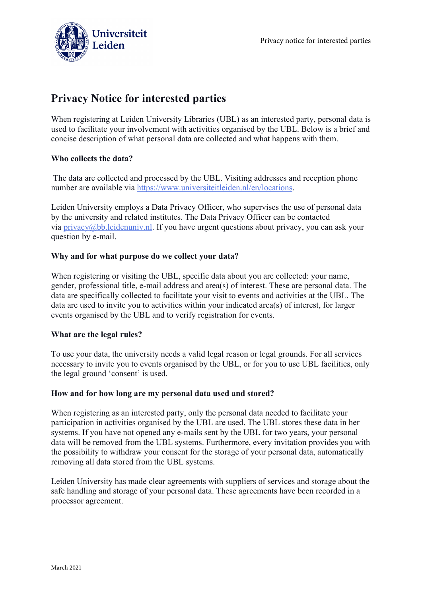



# **Privacy Notice for interested parties**

When registering at Leiden University Libraries (UBL) as an interested party, personal data is used to facilitate your involvement with activities organised by the UBL. Below is a brief and concise description of what personal data are collected and what happens with them.

## **Who collects the data?**

The data are collected and processed by the UBL. Visiting addresses and reception phone number are available via [https://www.universiteitleiden.nl/en/locations.](https://www.universiteitleiden.nl/en/locations)

Leiden University employs a Data Privacy Officer, who supervises the use of personal data by the university and related institutes. The Data Privacy Officer can be contacted via  $\frac{\text{privacy}}{\text{abbl}}$ . Ieidenuniv.nl. If you have urgent questions about privacy, you can ask your question by e-mail.

## **Why and for what purpose do we collect your data?**

When registering or visiting the UBL, specific data about you are collected: your name, gender, professional title, e-mail address and area(s) of interest. These are personal data. The data are specifically collected to facilitate your visit to events and activities at the UBL. The data are used to invite you to activities within your indicated area(s) of interest, for larger events organised by the UBL and to verify registration for events.

#### **What are the legal rules?**

To use your data, the university needs a valid legal reason or legal grounds. For all services necessary to invite you to events organised by the UBL, or for you to use UBL facilities, only the legal ground 'consent' is used.

#### **How and for how long are my personal data used and stored?**

When registering as an interested party, only the personal data needed to facilitate your participation in activities organised by the UBL are used. The UBL stores these data in her systems. If you have not opened any e-mails sent by the UBL for two years, your personal data will be removed from the UBL systems. Furthermore, every invitation provides you with the possibility to withdraw your consent for the storage of your personal data, automatically removing all data stored from the UBL systems.

Leiden University has made clear agreements with suppliers of services and storage about the safe handling and storage of your personal data. These agreements have been recorded in a processor agreement.